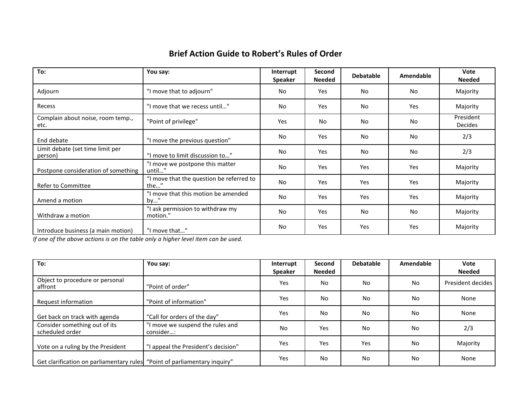# **Brief Action Guide to Robert's Rules of Order**

| To:                                         | You say:                                         | Interrupt<br><b>Speaker</b> | Second<br><b>Needed</b> | <b>Debatable</b> | Amendable      | Vote<br><b>Needed</b>       |
|---------------------------------------------|--------------------------------------------------|-----------------------------|-------------------------|------------------|----------------|-----------------------------|
| Adjourn                                     | "I move that to adjourn"                         | No                          | Yes                     | No               | <b>No</b>      | Majority                    |
| Recess                                      | "I move that we recess until"                    | No                          | Yes                     | No               | Yes            | Majority                    |
| Complain about noise, room temp.,<br>etc.   | "Point of privilege"                             | Yes                         | No                      | No               | <b>No</b>      | President<br><b>Decides</b> |
| End debate                                  | "I move the previous question"                   | No                          | Yes                     | No               | N <sub>o</sub> | 2/3                         |
| Limit debate (set time limit per<br>person) | "I move to limit discussion to"                  | No                          | Yes                     | No               | <b>No</b>      | 2/3                         |
| Postpone consideration of something         | "I move we postpone this matter<br>until"        | No                          | Yes                     | Yes              | Yes            | Majority                    |
| Refer to Committee                          | "I move that the question be referred to<br>the" | No                          | <b>Yes</b>              | Yes              | Yes            | Majority                    |
| Amend a motion                              | "I move that this motion be amended<br>$by$ "    | No                          | Yes                     | Yes              | Yes            | Majority                    |
| Withdraw a motion                           | "I ask permission to withdraw my<br>motion."     | No                          | Yes                     | No               | No             | Majority                    |
| Introduce business (a main motion)          | "I move that"                                    | No                          | Yes                     | Yes              | Yes            | Majority                    |

*If one of the above actions is on the table only a higher level item can be used.*

| To:                                                                       | You say:                                     | Interrupt<br><b>Speaker</b> | <b>Second</b><br><b>Needed</b> | <b>Debatable</b> | Amendable | Vote<br><b>Needed</b> |
|---------------------------------------------------------------------------|----------------------------------------------|-----------------------------|--------------------------------|------------------|-----------|-----------------------|
| Object to procedure or personal<br>affront                                | "Point of order"                             | Yes                         | No.                            | No.              | <b>No</b> | President decides     |
| Request information                                                       | "Point of information"                       | Yes                         | No                             | No               | No        | None                  |
| Get back on track with agenda                                             | "Call for orders of the day"                 | Yes                         | No                             | No               | <b>No</b> | None                  |
| Consider something out of its<br>scheduled order                          | I move we suspend the rules and<br>consider: | No                          | Yes                            | No               | No        | 2/3                   |
| Vote on a ruling by the President                                         | "I appeal the President's decision"          | Yes                         | Yes                            | Yes              | No        | Majority              |
| Get clarification on parliamentary rules "Point of parliamentary inquiry" |                                              | Yes                         | No                             | No               | No        | None                  |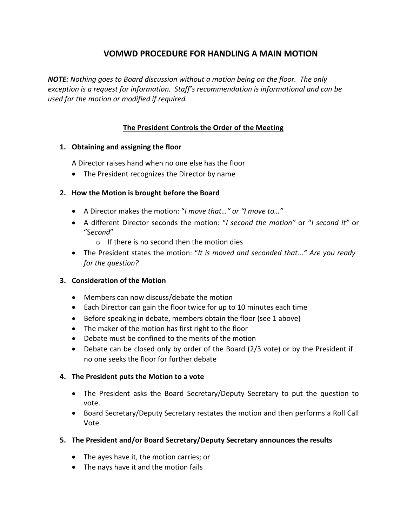# **VOMWD PROCEDURE FOR HANDLING A MAIN MOTION**

*NOTE: Nothing goes to Board discussion without a motion being on the floor. The only exception is a request for information. Staff's recommendation is informational and can be used for the motion or modified if required.*

# **The President Controls the Order of the Meeting**

## **1. Obtaining and assigning the floor**

A Director raises hand when no one else has the floor

• The President recognizes the Director by name

## **2. How the Motion is brought before the Board**

- A Director makes the motion: "*I move that…" or "I move to…"*
- A different Director seconds the motion: "*I second the motion"* or "*I second it"* or "S*econd*"
	- o If there is no second then the motion dies
- The President states the motion: "*It is moved and seconded that..." Are you ready for the question?*

# **3. Consideration of the Motion**

- Members can now discuss/debate the motion
- Each Director can gain the floor twice for up to 10 minutes each time
- Before speaking in debate, members obtain the floor (see 1 above)
- The maker of the motion has first right to the floor
- Debate must be confined to the merits of the motion
- Debate can be closed only by order of the Board (2/3 vote) or by the President if no one seeks the floor for further debate

# **4. The President puts the Motion to a vote**

- The President asks the Board Secretary/Deputy Secretary to put the question to vote.
- Board Secretary/Deputy Secretary restates the motion and then performs a Roll Call Vote.
- **5. The President and/or Board Secretary/Deputy Secretary announces the results**
	- The ayes have it, the motion carries; or
	- The nays have it and the motion fails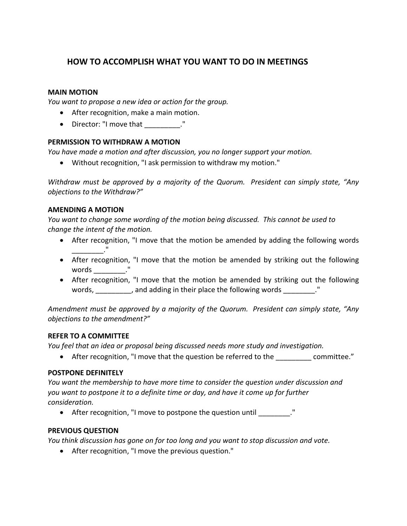# **HOW TO ACCOMPLISH WHAT YOU WANT TO DO IN MEETINGS**

#### **MAIN MOTION**

*You want to propose a new idea or action for the group.*

- After recognition, make a main motion.
- Director: "I move that  $\cdot$ "

#### **PERMISSION TO WITHDRAW A MOTION**

*You have made a motion and after discussion, you no longer support your motion.*

• Without recognition, "I ask permission to withdraw my motion."

*Withdraw must be approved by a majority of the Quorum. President can simply state, "Any objections to the Withdraw?"*

#### **AMENDING A MOTION**

*You want to change some wording of the motion being discussed. This cannot be used to change the intent of the motion.*

- After recognition, "I move that the motion be amended by adding the following words \_\_\_\_\_\_\_\_\_\_\_\_\_."
- After recognition, "I move that the motion be amended by striking out the following words ."
- After recognition, "I move that the motion be amended by striking out the following words, \_\_\_\_\_\_\_\_, and adding in their place the following words \_\_\_\_\_\_\_."

*Amendment must be approved by a majority of the Quorum. President can simply state, "Any objections to the amendment?"*

#### **REFER TO A COMMITTEE**

*You feel that an idea or proposal being discussed needs more study and investigation.*

• After recognition, "I move that the question be referred to the committee."

#### **POSTPONE DEFINITELY**

*You want the membership to have more time to consider the question under discussion and you want to postpone it to a definite time or day, and have it come up for further consideration.*

• After recognition, "I move to postpone the question until \_\_\_\_\_\_\_\_."

#### **PREVIOUS QUESTION**

*You think discussion has gone on for too long and you want to stop discussion and vote.*

• After recognition, "I move the previous question."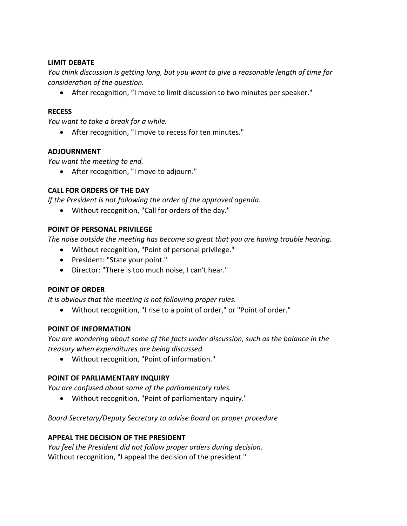#### **LIMIT DEBATE**

*You think discussion is getting long, but you want to give a reasonable length of time for consideration of the question.*

• After recognition, "I move to limit discussion to two minutes per speaker."

#### **RECESS**

*You want to take a break for a while.*

• After recognition, "I move to recess for ten minutes."

## **ADJOURNMENT**

*You want the meeting to end.*

• After recognition, "I move to adjourn."

## **CALL FOR ORDERS OF THE DAY**

*If the President is not following the order of the approved agenda.*

• Without recognition, "Call for orders of the day."

#### **POINT OF PERSONAL PRIVILEGE**

*The noise outside the meeting has become so great that you are having trouble hearing.*

- Without recognition, "Point of personal privilege."
- President: "State your point."
- Director: "There is too much noise, I can't hear."

#### **POINT OF ORDER**

*It is obvious that the meeting is not following proper rules.*

• Without recognition, "I rise to a point of order," or "Point of order."

#### **POINT OF INFORMATION**

*You are wondering about some of the facts under discussion, such as the balance in the treasury when expenditures are being discussed.*

• Without recognition, "Point of information."

#### **POINT OF PARLIAMENTARY INQUIRY**

*You are confused about some of the parliamentary rules.*

• Without recognition, "Point of parliamentary inquiry."

# *Board Secretary/Deputy Secretary to advise Board on proper procedure*

#### **APPEAL THE DECISION OF THE PRESIDENT**

*You feel the President did not follow proper orders during decision.* Without recognition, "I appeal the decision of the president."